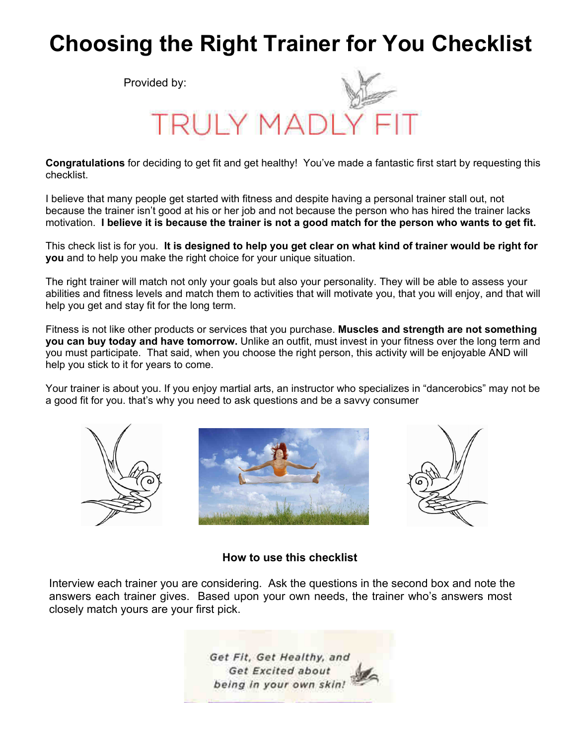## **Choosing the Right Trainer for You Checklist**

Provided by:



**Congratulations**for deciding to get fit and get healthy! You've made a fantastic first start by requesting this checklist.

I believe that many people get started with fitness and despite having a personal trainer stall out, not because the trainer isn't good at his or her job and not because the person who has hired the trainer lacks motivation.**I believe it is because the trainer is not a good match for the person who wants to get fit.**

This check list is for you.**It is designed to help you get clear on what kind of trainer would be right for you**and to help you make the right choice for your unique situation.

The right trainer will match not only your goals but also your personality. They will be able to assess your abilities and fitness levels and match them to activities that will motivate you, that you will enjoy, and that will help you get and stay fit for the long term.

Fitness is not like other products or services that you purchase.**Muscles and strength are not something you can buy today and have tomorrow.**Unlike an outfit, must invest in your fitness over the long term and you must participate. That said, when you choose the right person, this activity will be enjoyable AND will help you stick to it for years to come.

Your trainer is about you. If you enjoy martial arts, an instructor who specializes in "dancerobics" may not be a good fit for you. that's why you need to ask questions and be a savvy consumer







## **How to use this checklist**

Interview each trainer you are considering. Ask the questions in the second box and note the answers each trainer gives. Based upon your own needs, the trainer who's answers most closely match yours are your first pick.

> Get Fit, Get Healthy, and Get Excited about being in your own skin!